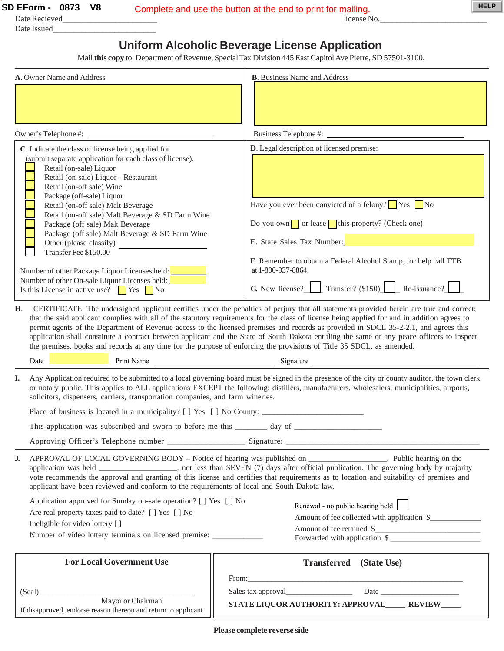Date Recieved\_\_\_\_\_\_\_\_\_\_\_\_\_\_\_\_\_\_\_\_\_\_\_ License No.\_\_\_\_\_\_\_\_\_\_\_\_\_\_\_\_\_\_\_\_\_\_\_\_\_\_

Date Issued\_

## **Uniform Alcoholic Beverage License Application**

Mail **this copy** to: Department of Revenue, Special Tax Division 445 East Capitol Ave Pierre, SD 57501-3100.

| A. Owner Name and Address                                                                                                                                                                                                                                                                                                                                                                                                                                                                                                                                                                                                                                                                                                                               | <b>B.</b> Business Name and Address                                                                                                                                                                                                                                                                                                                            |  |  |
|---------------------------------------------------------------------------------------------------------------------------------------------------------------------------------------------------------------------------------------------------------------------------------------------------------------------------------------------------------------------------------------------------------------------------------------------------------------------------------------------------------------------------------------------------------------------------------------------------------------------------------------------------------------------------------------------------------------------------------------------------------|----------------------------------------------------------------------------------------------------------------------------------------------------------------------------------------------------------------------------------------------------------------------------------------------------------------------------------------------------------------|--|--|
|                                                                                                                                                                                                                                                                                                                                                                                                                                                                                                                                                                                                                                                                                                                                                         |                                                                                                                                                                                                                                                                                                                                                                |  |  |
| Owner's Telephone #: _                                                                                                                                                                                                                                                                                                                                                                                                                                                                                                                                                                                                                                                                                                                                  |                                                                                                                                                                                                                                                                                                                                                                |  |  |
| C. Indicate the class of license being applied for<br>(submit separate application for each class of license).<br>Retail (on-sale) Liquor<br>Retail (on-sale) Liquor - Restaurant<br>Retail (on-off sale) Wine<br>Package (off-sale) Liquor<br>Retail (on-off sale) Malt Beverage<br>Retail (on-off sale) Malt Beverage & SD Farm Wine<br>Package (off sale) Malt Beverage<br>Package (off sale) Malt Beverage & SD Farm Wine<br>Other (please classify)<br>Transfer Fee \$150.00<br>Number of other Package Liquor Licenses held:<br>Number of other On-sale Liquor Licenses held:<br>Is this License in active use? $\Box$ Yes $\Box$ No                                                                                                              | D. Legal description of licensed premise:<br>Have you ever been convicted of a felony? $\Box$ Yes $\Box$ No<br>Do you own $\Box$ or lease $\Box$ this property? (Check one)<br>E. State Sales Tax Number:<br>F. Remember to obtain a Federal Alcohol Stamp, for help call TTB<br>at 1-800-937-8864.<br><b>G.</b> New license? Transfer? $(\$150)$ Re-issuance? |  |  |
| CERTIFICATE: The undersigned applicant certifies under the penalties of perjury that all statements provided herein are true and correct;<br>Н.<br>that the said applicant complies with all of the statutory requirements for the class of license being applied for and in addition agrees to<br>permit agents of the Department of Revenue access to the licensed premises and records as provided in SDCL 35-2-2.1, and agrees this<br>application shall constitute a contract between applicant and the State of South Dakota entitling the same or any peace officers to inspect<br>the premises, books and records at any time for the purpose of enforcing the provisions of Title 35 SDCL, as amended.<br>Date Print Name Print Name Signature |                                                                                                                                                                                                                                                                                                                                                                |  |  |
| Any Application required to be submitted to a local governing board must be signed in the presence of the city or county auditor, the town clerk<br>I.<br>or notary public. This applies to ALL applications EXCEPT the following: distillers, manufacturers, wholesalers, municipalities, airports,<br>solicitors, dispensers, carriers, transportation companies, and farm wineries.                                                                                                                                                                                                                                                                                                                                                                  |                                                                                                                                                                                                                                                                                                                                                                |  |  |
|                                                                                                                                                                                                                                                                                                                                                                                                                                                                                                                                                                                                                                                                                                                                                         |                                                                                                                                                                                                                                                                                                                                                                |  |  |
|                                                                                                                                                                                                                                                                                                                                                                                                                                                                                                                                                                                                                                                                                                                                                         |                                                                                                                                                                                                                                                                                                                                                                |  |  |
|                                                                                                                                                                                                                                                                                                                                                                                                                                                                                                                                                                                                                                                                                                                                                         |                                                                                                                                                                                                                                                                                                                                                                |  |  |
| APPROVAL OF LOCAL GOVERNING BODY – Notice of hearing was published on ________________. Public hearing on the<br>J.<br>application was held __________________, not less than SEVEN (7) days after official publication. The governing body by majority<br>vote recommends the approval and granting of this license and certifies that requirements as to location and suitability of premises and<br>applicant have been reviewed and conform to the requirements of local and South Dakota law.                                                                                                                                                                                                                                                      |                                                                                                                                                                                                                                                                                                                                                                |  |  |
| Application approved for Sunday on-sale operation? [ ] Yes [ ] No<br>Are real property taxes paid to date? [ ] Yes [ ] No<br>Ineligible for video lottery [ ]<br>Number of video lottery terminals on licensed premise: __________________________                                                                                                                                                                                                                                                                                                                                                                                                                                                                                                      | Renewal - no public hearing held<br>Amount of fee collected with application \$<br>Amount of fee retained \$<br>Forwarded with application \$                                                                                                                                                                                                                  |  |  |
| <b>For Local Government Use</b>                                                                                                                                                                                                                                                                                                                                                                                                                                                                                                                                                                                                                                                                                                                         | <b>Transferred</b> (State Use)                                                                                                                                                                                                                                                                                                                                 |  |  |
|                                                                                                                                                                                                                                                                                                                                                                                                                                                                                                                                                                                                                                                                                                                                                         |                                                                                                                                                                                                                                                                                                                                                                |  |  |
| (Seal) Mayor or Chairman<br>If disapproved, endorse reason thereon and return to applicant                                                                                                                                                                                                                                                                                                                                                                                                                                                                                                                                                                                                                                                              | STATE LIQUOR AUTHORITY: APPROVAL______ REVIEW____                                                                                                                                                                                                                                                                                                              |  |  |